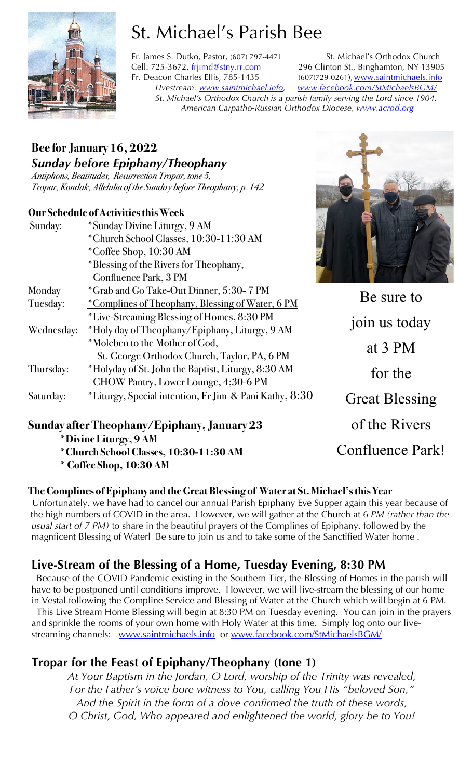

# St. Michael's Parish Bee

Fr. James S. Dutko, Pastor, (607) 797-4471 St. Michael's Orthodox Church Cell: 725-3672, frijimd@stny.rr.com 296 Clinton St., Binghamton, NY 13905 Fr. Deacon Charles Ellis, 785-1435 (607)729-0261), www.saintmichaels.info *LIvestream: www.saintmichael.info, www.facebook.com/StMichaelsBGM/ St. Michael's Orthodox Church is a parish family serving the Lord since 1904. American Carpatho-Russian Orthodox Diocese, www.acrod.org*

# **Bee for January 16, 2022**

*Sunday before Epiphany/Theophany Antiphons, Beatitudes, Resurrection Tropar, tone 5, Tropar, Kondak, Allelulia of the Sunday before Theophany, p. 142*

#### **Our Schedule of Activities this Week**

| Sunday:    | *Sunday Divine Liturgy, 9 AM                           |
|------------|--------------------------------------------------------|
|            | *Church School Classes, 10:30-11:30 AM                 |
|            | *Coffee Shop, 10:30 AM                                 |
|            | *Blessing of the Rivers for Theophany,                 |
|            | Confluence Park, 3 PM                                  |
| Monday     | *Grab and Go Take-Out Dinner, 5:30-7 PM                |
| Tuesday:   | *Complines of Theophany, Blessing of Water, 6 PM       |
|            | *Live-Streaming Blessing of Homes, 8:30 PM             |
| Wednesday: | *Holy day of Theophany/Epiphany, Liturgy, 9 AM         |
|            | *Moleben to the Mother of God,                         |
|            | St. George Orthodox Church, Taylor, PA, 6 PM           |
| Thursday:  | *Holyday of St. John the Baptist, Liturgy, 8:30 AM     |
|            | CHOW Pantry, Lower Lounge, 4;30-6 PM                   |
| Saturday:  | *Liturgy, Special intention, Fr Jim & Pani Kathy, 8:30 |
|            |                                                        |

**Sunday after Theophany/Epiphany, January 23** 

**\*Church School Classes, 10:30-11:30 AM**

**\*Divine Liturgy, 9 AM**

**\* Coffee Shop, 10:30 AM**



Be sure to join us today at 3 PM for the Great Blessing of the Rivers Confluence Park!

## **The Complines of Epiphany and the Great Blessing of Water at St. Michael's this Year**

 Unfortunately, we have had to cancel our annual Parish Epiphany Eve Supper again this year because of the high numbers of COVID in the area. However, we will gather at the Church at 6 *PM (rather than the usual start of 7 PM)* to share in the beautiful prayers of the Complines of Epiphany, followed by the magnficent Blessing of Waterl Be sure to join us and to take some of the Sanctified Water home .

## **Live-Stream of the Blessing of a Home, Tuesday Evening, 8:30 PM**

 Because of the COVID Pandemic existing in the Southern Tier, the Blessing of Homes in the parish will have to be postponed until conditions improve. However, we will live-stream the blessing of our home in Vestal following the Compline Service and Blessing of Water at the Church which will begin at 6 PM.

 This Live Stream Home Blessing will begin at 8:30 PM on Tuesday evening. You can join in the prayers and sprinkle the rooms of your own home with Holy Water at this time. Simply log onto our livestreaming channels: www.saintmichaels.info or www.facebook.com/StMichaelsBGM/

## **Tropar for the Feast of Epiphany/Theophany (tone 1)**

*At Your Baptism in the Jordan, O Lord, worship of the Trinity was revealed, For the Father's voice bore witness to You, calling You His "beloved Son," And the Spirit in the form of a dove confirmed the truth of these words, O Christ, God, Who appeared and enlightened the world, glory be to You!*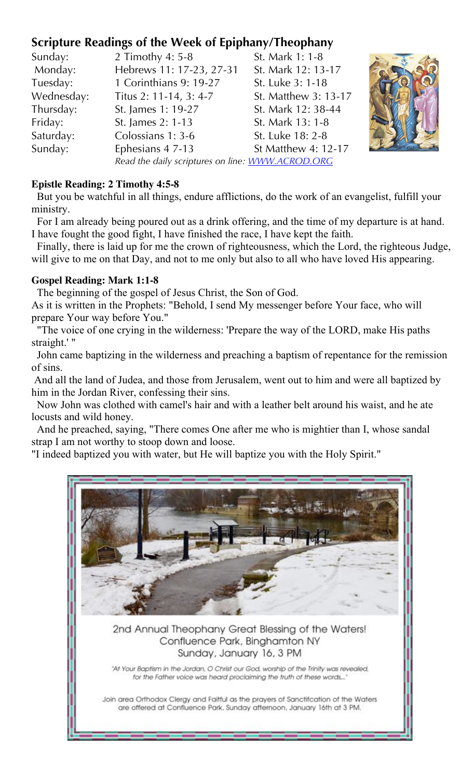## **Scripture Readings of the Week of Epiphany/Theophany**

| Sunday:    | 2 Timothy 4: $5-8$                               | St. Mark 1: 1-8      |  |
|------------|--------------------------------------------------|----------------------|--|
| Monday:    | Hebrews 11: 17-23, 27-31                         | St. Mark 12: 13-17   |  |
| Tuesday:   | 1 Corinthians 9: 19-27                           | St. Luke 3: 1-18     |  |
| Wednesday: | Titus 2: 11-14, 3: 4-7                           | St. Matthew 3: 13-17 |  |
| Thursday:  | St. James 1: 19-27                               | St. Mark 12: 38-44   |  |
| Friday:    | St. James 2: 1-13                                | St. Mark 13: 1-8     |  |
| Saturday:  | Colossians 1: 3-6                                | St. Luke 18: 2-8     |  |
| Sunday:    | Ephesians 4 7-13                                 | St Matthew 4: 12-17  |  |
|            | Read the daily scriptures on line: WWW.ACROD.ORG |                      |  |



#### **Epistle Reading: 2 Timothy 4:5-8**

 But you be watchful in all things, endure afflictions, do the work of an evangelist, fulfill your ministry.

 For I am already being poured out as a drink offering, and the time of my departure is at hand. I have fought the good fight, I have finished the race, I have kept the faith.

 Finally, there is laid up for me the crown of righteousness, which the Lord, the righteous Judge, will give to me on that Day, and not to me only but also to all who have loved His appearing.

#### **Gospel Reading: Mark 1:1-8**

The beginning of the gospel of Jesus Christ, the Son of God.

As it is written in the Prophets: "Behold, I send My messenger before Your face, who will prepare Your way before You."

 "The voice of one crying in the wilderness: 'Prepare the way of the LORD, make His paths straight.' "

 John came baptizing in the wilderness and preaching a baptism of repentance for the remission of sins.

And all the land of Judea, and those from Jerusalem, went out to him and were all baptized by him in the Jordan River, confessing their sins.

 Now John was clothed with camel's hair and with a leather belt around his waist, and he ate locusts and wild honey.

 And he preached, saying, "There comes One after me who is mightier than I, whose sandal strap I am not worthy to stoop down and loose.

"I indeed baptized you with water, but He will baptize you with the Holy Spirit."

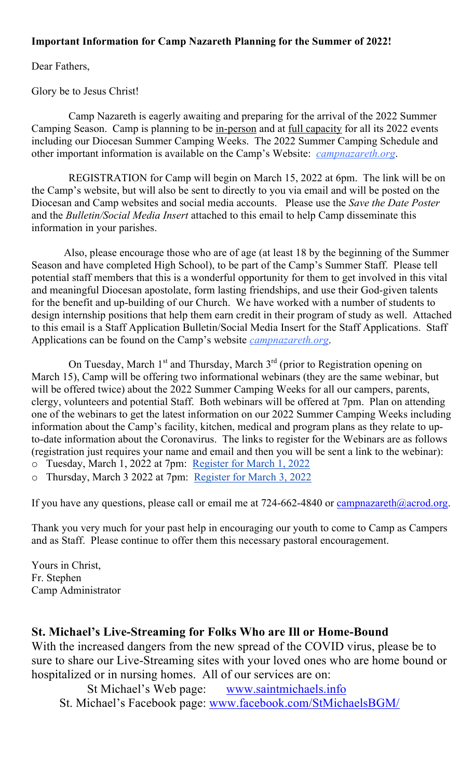#### **Important Information for Camp Nazareth Planning for the Summer of 2022!**

Dear Fathers,

Glory be to Jesus Christ!

Camp Nazareth is eagerly awaiting and preparing for the arrival of the 2022 Summer Camping Season. Camp is planning to be in-person and at full capacity for all its 2022 events including our Diocesan Summer Camping Weeks. The 2022 Summer Camping Schedule and other important information is available on the Camp's Website: *campnazareth.org*.

REGISTRATION for Camp will begin on March 15, 2022 at 6pm. The link will be on the Camp's website, but will also be sent to directly to you via email and will be posted on the Diocesan and Camp websites and social media accounts. Please use the *Save the Date Poster* and the *Bulletin/Social Media Insert* attached to this email to help Camp disseminate this information in your parishes.

 Also, please encourage those who are of age (at least 18 by the beginning of the Summer Season and have completed High School), to be part of the Camp's Summer Staff. Please tell potential staff members that this is a wonderful opportunity for them to get involved in this vital and meaningful Diocesan apostolate, form lasting friendships, and use their God-given talents for the benefit and up-building of our Church. We have worked with a number of students to design internship positions that help them earn credit in their program of study as well. Attached to this email is a Staff Application Bulletin/Social Media Insert for the Staff Applications. Staff Applications can be found on the Camp's website *campnazareth.org*.

On Tuesday, March  $1<sup>st</sup>$  and Thursday, March  $3<sup>rd</sup>$  (prior to Registration opening on March 15), Camp will be offering two informational webinars (they are the same webinar, but will be offered twice) about the 2022 Summer Camping Weeks for all our campers, parents, clergy, volunteers and potential Staff. Both webinars will be offered at 7pm. Plan on attending one of the webinars to get the latest information on our 2022 Summer Camping Weeks including information about the Camp's facility, kitchen, medical and program plans as they relate to upto-date information about the Coronavirus. The links to register for the Webinars are as follows (registration just requires your name and email and then you will be sent a link to the webinar): o Tuesday, March 1, 2022 at 7pm: Register for March 1, 2022

o Thursday, March 3 2022 at 7pm: Register for March 3, 2022

If you have any questions, please call or email me at 724-662-4840 or campnazareth@acrod.org.

Thank you very much for your past help in encouraging our youth to come to Camp as Campers and as Staff. Please continue to offer them this necessary pastoral encouragement.

Yours in Christ, Fr. Stephen Camp Administrator

## **St. Michael's Live-Streaming for Folks Who are Ill or Home-Bound**

With the increased dangers from the new spread of the COVID virus, please be to sure to share our Live-Streaming sites with your loved ones who are home bound or hospitalized or in nursing homes. All of our services are on:

 St Michael's Web page: www.saintmichaels.info St. Michael's Facebook page: www.facebook.com/StMichaelsBGM/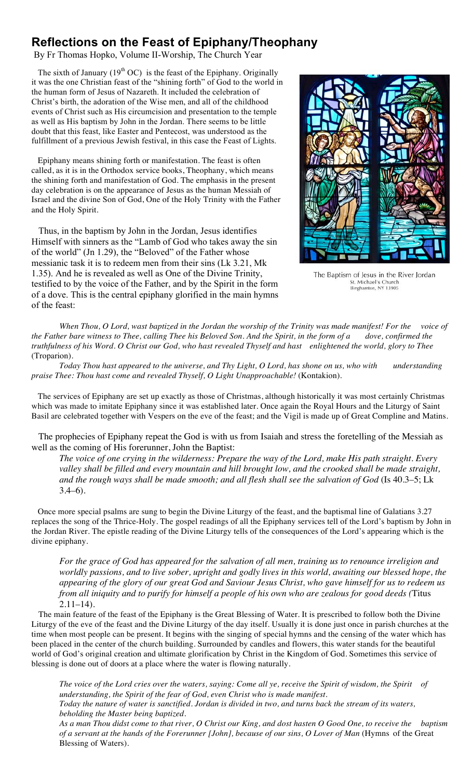#### **Reflections on the Feast of Epiphany/Theophany**

By Fr Thomas Hopko, Volume II-Worship, The Church Year

The sixth of January ( $19<sup>th</sup> OC$ ) is the feast of the Epiphany. Originally it was the one Christian feast of the "shining forth" of God to the world in the human form of Jesus of Nazareth. It included the celebration of Christ's birth, the adoration of the Wise men, and all of the childhood events of Christ such as His circumcision and presentation to the temple as well as His baptism by John in the Jordan. There seems to be little doubt that this feast, like Easter and Pentecost, was understood as the fulfillment of a previous Jewish festival, in this case the Feast of Lights.

 Epiphany means shining forth or manifestation. The feast is often called, as it is in the Orthodox service books, Theophany, which means the shining forth and manifestation of God. The emphasis in the present day celebration is on the appearance of Jesus as the human Messiah of Israel and the divine Son of God, One of the Holy Trinity with the Father and the Holy Spirit.

 Thus, in the baptism by John in the Jordan, Jesus identifies Himself with sinners as the "Lamb of God who takes away the sin of the world" (Jn 1.29), the "Beloved" of the Father whose messianic task it is to redeem men from their sins (Lk 3.21, Mk 1.35). And he is revealed as well as One of the Divine Trinity, testified to by the voice of the Father, and by the Spirit in the form of a dove. This is the central epiphany glorified in the main hymns of the feast:



The Baptism of Jesus in the River Jordan St. Michael's Church<br>Binghamton, NY 13905

*When Thou, O Lord, wast baptized in the Jordan the worship of the Trinity was made manifest! For the voice of the Father bare witness to Thee, calling Thee his Beloved Son. And the Spirit, in the form of a* dove, confirmed the *truthfulness of his Word. O Christ our God, who hast revealed Thyself and hast enlightened the world, glory to Thee* (Troparion).

*Today Thou hast appeared to the universe, and Thy Light, O Lord, has shone on us, who with understanding praise Thee: Thou hast come and revealed Thyself, O Light Unapproachable!* (Kontakion).

 The services of Epiphany are set up exactly as those of Christmas, although historically it was most certainly Christmas which was made to imitate Epiphany since it was established later. Once again the Royal Hours and the Liturgy of Saint Basil are celebrated together with Vespers on the eve of the feast; and the Vigil is made up of Great Compline and Matins.

 The prophecies of Epiphany repeat the God is with us from Isaiah and stress the foretelling of the Messiah as well as the coming of His forerunner, John the Baptist:

*The voice of one crying in the wilderness: Prepare the way of the Lord, make His path straight. Every valley shall be filled and every mountain and hill brought low, and the crooked shall be made straight, and the rough ways shall be made smooth; and all flesh shall see the salvation of God* (Is 40.3–5; Lk  $3.4-6$ ).

 Once more special psalms are sung to begin the Divine Liturgy of the feast, and the baptismal line of Galatians 3.27 replaces the song of the Thrice-Holy. The gospel readings of all the Epiphany services tell of the Lord's baptism by John in the Jordan River. The epistle reading of the Divine Liturgy tells of the consequences of the Lord's appearing which is the divine epiphany.

*For the grace of God has appeared for the salvation of all men, training us to renounce irreligion and worldly passions, and to live sober, upright and godly lives in this world, awaiting our blessed hope, the appearing of the glory of our great God and Saviour Jesus Christ, who gave himself for us to redeem us from all iniquity and to purify for himself a people of his own who are zealous for good deeds (*Titus  $2.11-14$ ).

 The main feature of the feast of the Epiphany is the Great Blessing of Water. It is prescribed to follow both the Divine Liturgy of the eve of the feast and the Divine Liturgy of the day itself. Usually it is done just once in parish churches at the time when most people can be present. It begins with the singing of special hymns and the censing of the water which has been placed in the center of the church building. Surrounded by candles and flowers, this water stands for the beautiful world of God's original creation and ultimate glorification by Christ in the Kingdom of God. Sometimes this service of blessing is done out of doors at a place where the water is flowing naturally.

*The voice of the Lord cries over the waters, saying: Come all ye, receive the Spirit of wisdom, the Spirit of understanding, the Spirit of the fear of God, even Christ who is made manifest.*

*Today the nature of water is sanctified. Jordan is divided in two, and turns back the stream of its waters, beholding the Master being baptized.*

*As a man Thou didst come to that river, O Christ our King, and dost hasten O Good One, to receive the baptism of a servant at the hands of the Forerunner [John], because of our sins, O Lover of Man* (Hymns of the Great Blessing of Waters).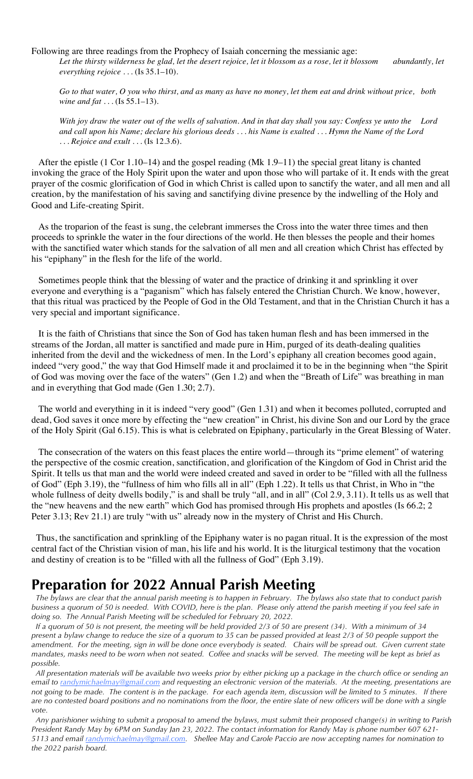Following are three readings from the Prophecy of Isaiah concerning the messianic age:

Let the thirsty wilderness be glad, let the desert rejoice, let it blossom as a rose, let it blossom abundantly, let *everything rejoice . . .* (Is 35.1–10).

*Go to that water, O you who thirst, and as many as have no money, let them eat and drink without price, both wine and fat . . .* (Is 55.1–13).

*With joy draw the water out of the wells of salvation. And in that day shall you say: Confess ye unto the Lord and call upon his Name; declare his glorious deeds . . . his Name is exalted . . . Hymn the Name of the Lord . . . Rejoice and exult . . .* (Is 12.3.6).

 After the epistle (1 Cor 1.10–14) and the gospel reading (Mk 1.9–11) the special great litany is chanted invoking the grace of the Holy Spirit upon the water and upon those who will partake of it. It ends with the great prayer of the cosmic glorification of God in which Christ is called upon to sanctify the water, and all men and all creation, by the manifestation of his saving and sanctifying divine presence by the indwelling of the Holy and Good and Life-creating Spirit.

 As the troparion of the feast is sung, the celebrant immerses the Cross into the water three times and then proceeds to sprinkle the water in the four directions of the world. He then blesses the people and their homes with the sanctified water which stands for the salvation of all men and all creation which Christ has effected by his "epiphany" in the flesh for the life of the world.

 Sometimes people think that the blessing of water and the practice of drinking it and sprinkling it over everyone and everything is a "paganism" which has falsely entered the Christian Church. We know, however, that this ritual was practiced by the People of God in the Old Testament, and that in the Christian Church it has a very special and important significance.

 It is the faith of Christians that since the Son of God has taken human flesh and has been immersed in the streams of the Jordan, all matter is sanctified and made pure in Him, purged of its death-dealing qualities inherited from the devil and the wickedness of men. In the Lord's epiphany all creation becomes good again, indeed "very good," the way that God Himself made it and proclaimed it to be in the beginning when "the Spirit of God was moving over the face of the waters" (Gen 1.2) and when the "Breath of Life" was breathing in man and in everything that God made (Gen 1.30; 2.7).

 The world and everything in it is indeed "very good" (Gen 1.31) and when it becomes polluted, corrupted and dead, God saves it once more by effecting the "new creation" in Christ, his divine Son and our Lord by the grace of the Holy Spirit (Gal 6.15). This is what is celebrated on Epiphany, particularly in the Great Blessing of Water.

 The consecration of the waters on this feast places the entire world—through its "prime element" of watering the perspective of the cosmic creation, sanctification, and glorification of the Kingdom of God in Christ arid the Spirit. It tells us that man and the world were indeed created and saved in order to be "filled with all the fullness of God" (Eph 3.19), the "fullness of him who fills all in all" (Eph 1.22). It tells us that Christ, in Who in "the whole fullness of deity dwells bodily," is and shall be truly "all, and in all" (Col 2.9, 3.11). It tells us as well that the "new heavens and the new earth" which God has promised through His prophets and apostles (Is 66.2; 2 Peter 3.13; Rev 21.1) are truly "with us" already now in the mystery of Christ and His Church.

 Thus, the sanctification and sprinkling of the Epiphany water is no pagan ritual. It is the expression of the most central fact of the Christian vision of man, his life and his world. It is the liturgical testimony that the vocation and destiny of creation is to be "filled with all the fullness of God" (Eph 3.19).

# **Preparation for 2022 Annual Parish Meeting**

 *The bylaws are clear that the annual parish meeting is to happen in February. The bylaws also state that to conduct parish business a quorum of 50 is needed. With COVID, here is the plan. Please only attend the parish meeting if you feel safe in doing so. The Annual Parish Meeting will be scheduled for February 20, 2022.*

 *If a quorum of 50 is not present, the meeting will be held provided 2/3 of 50 are present (34). With a minimum of 34 present a bylaw change to reduce the size of a quorum to 35 can be passed provided at least 2/3 of 50 people support the amendment. For the meeting, sign in will be done once everybody is seated. Chairs will be spread out. Given current state*  mandates, masks need to be worn when not seated. Coffee and snacks will be served. The meeting will be kept as brief as *possible.*

 *All presentation materials will be available two weeks prior by either picking up a package in the church office or sending an email to randymichaelmay@gmail.com and requesting an electronic version of the materials. At the meeting, presentations are not going to be made. The content is in the package. For each agenda item, discussion will be limited to 5 minutes. If there are no contested board positions and no nominations from the floor, the entire slate of new officers will be done with a single vote.* 

 *Any parishioner wishing to submit a proposal to amend the bylaws, must submit their proposed change(s) in writing to Parish President Randy May by 6PM on Sunday Jan 23, 2022. The contact information for Randy May is phone number 607 621- 5113 and email randymichaelmay@gmail.com. Shellee May and Carole Paccio are now accepting names for nomination to the 2022 parish board.*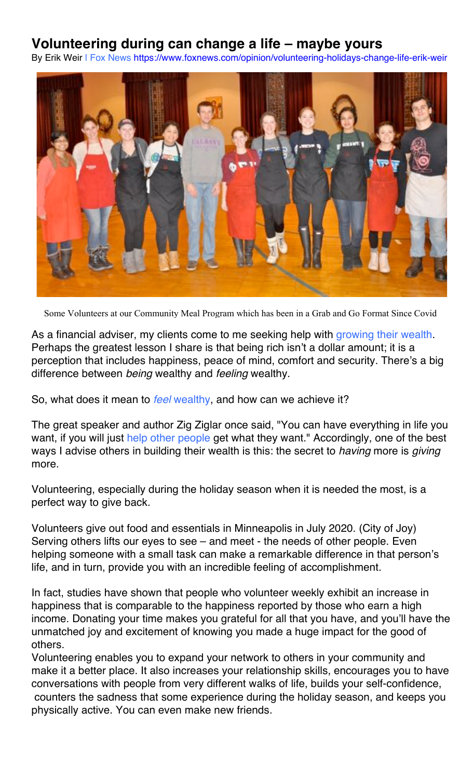## **Volunteering during can change a life – maybe yours**

By Erik Weir | Fox News https://www.foxnews.com/opinion/volunteering-holidays-change-life-erik-weir



Some Volunteers at our Community Meal Program which has been in a Grab and Go Format Since Covid

As a financial adviser, my clients come to me seeking help with growing their wealth. Perhaps the greatest lesson I share is that being rich isn't a dollar amount; it is a perception that includes happiness, peace of mind, comfort and security. There's a big difference between *being* wealthy and *feeling* wealthy.

So, what does it mean to *feel* wealthy, and how can we achieve it?

The great speaker and author Zig Ziglar once said, "You can have everything in life you want, if you will just help other people get what they want." Accordingly, one of the best ways I advise others in building their wealth is this: the secret to *having* more is *giving*  more.

Volunteering, especially during the holiday season when it is needed the most, is a perfect way to give back.

Volunteers give out food and essentials in Minneapolis in July 2020. (City of Joy) Serving others lifts our eyes to see – and meet - the needs of other people. Even helping someone with a small task can make a remarkable difference in that person's life, and in turn, provide you with an incredible feeling of accomplishment.

In fact, studies have shown that people who volunteer weekly exhibit an increase in happiness that is comparable to the happiness reported by those who earn a high income. Donating your time makes you grateful for all that you have, and you'll have the unmatched joy and excitement of knowing you made a huge impact for the good of others.

Volunteering enables you to expand your network to others in your community and make it a better place. It also increases your relationship skills, encourages you to have conversations with people from very different walks of life, builds your self-confidence, counters the sadness that some experience during the holiday season, and keeps you physically active. You can even make new friends.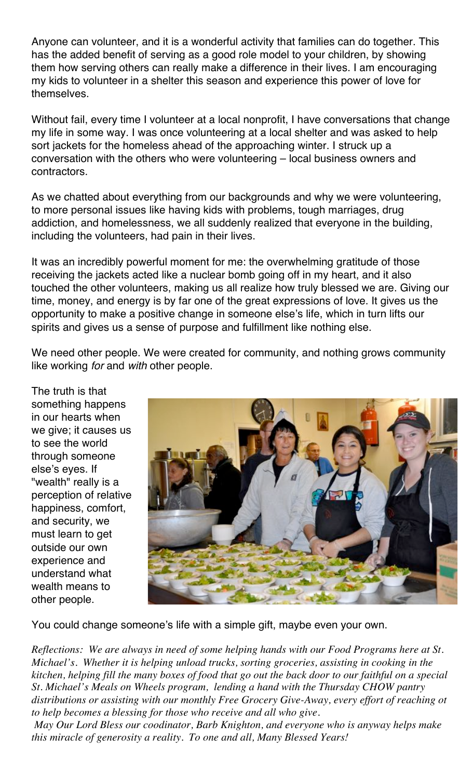Anyone can volunteer, and it is a wonderful activity that families can do together. This has the added benefit of serving as a good role model to your children, by showing them how serving others can really make a difference in their lives. I am encouraging my kids to volunteer in a shelter this season and experience this power of love for themselves.

Without fail, every time I volunteer at a local nonprofit, I have conversations that change my life in some way. I was once volunteering at a local shelter and was asked to help sort jackets for the homeless ahead of the approaching winter. I struck up a conversation with the others who were volunteering – local business owners and contractors.

As we chatted about everything from our backgrounds and why we were volunteering, to more personal issues like having kids with problems, tough marriages, drug addiction, and homelessness, we all suddenly realized that everyone in the building, including the volunteers, had pain in their lives.

It was an incredibly powerful moment for me: the overwhelming gratitude of those receiving the jackets acted like a nuclear bomb going off in my heart, and it also touched the other volunteers, making us all realize how truly blessed we are. Giving our time, money, and energy is by far one of the great expressions of love. It gives us the opportunity to make a positive change in someone else's life, which in turn lifts our spirits and gives us a sense of purpose and fulfillment like nothing else.

We need other people. We were created for community, and nothing grows community like working *for* and *with* other people.

The truth is that something happens in our hearts when we give; it causes us to see the world through someone else's eyes. If "wealth" really is a perception of relative happiness, comfort, and security, we must learn to get outside our own experience and understand what wealth means to other people.



You could change someone's life with a simple gift, maybe even your own.

*Reflections: We are always in need of some helping hands with our Food Programs here at St. Michael's. Whether it is helping unload trucks, sorting groceries, assisting in cooking in the kitchen, helping fill the many boxes of food that go out the back door to our faithful on a special St. Michael's Meals on Wheels program, lending a hand with the Thursday CHOW pantry distributions or assisting with our monthly Free Grocery Give-Away, every effort of reaching ot to help becomes a blessing for those who receive and all who give.* 

 *May Our Lord Bless our coodinator, Barb Knighton, and everyone who is anyway helps make this miracle of generosity a reality. To one and all, Many Blessed Years!*